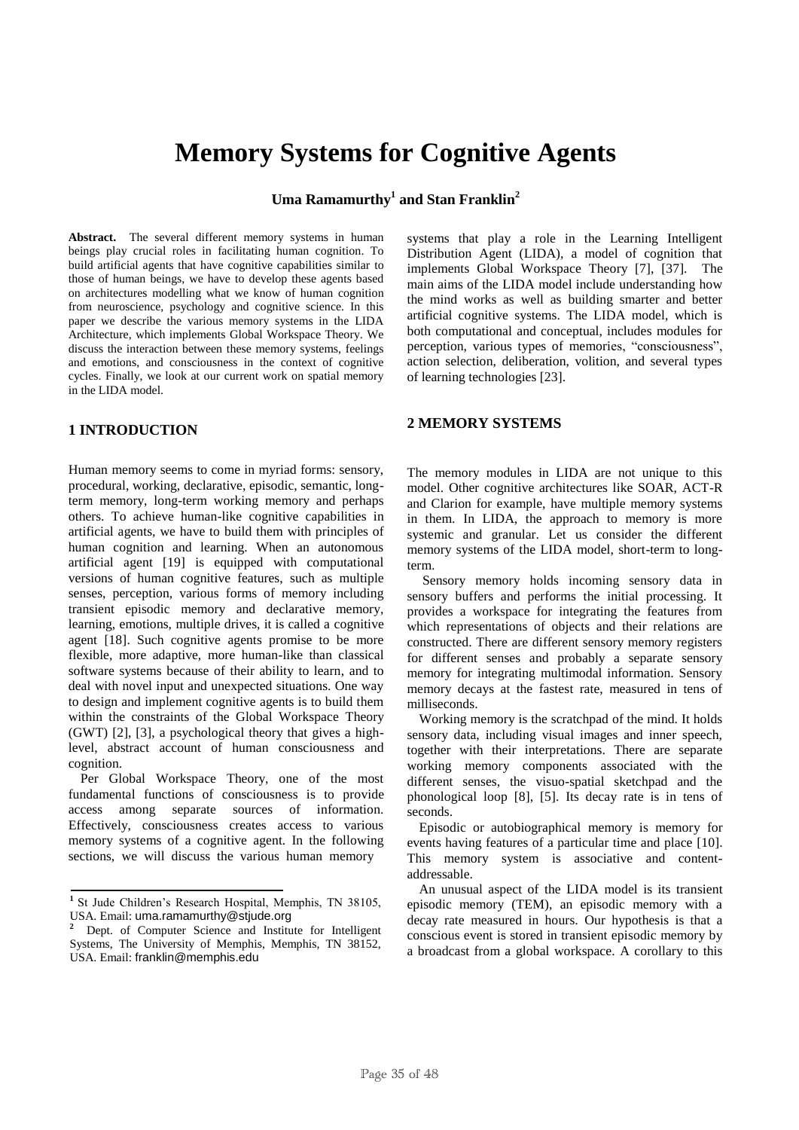# **Memory Systems for Cognitive Agents**

**Uma Ramamurthy<sup>1</sup> and Stan Franklin<sup>2</sup>**

**Abstract.** The several different memory systems in human beings play crucial roles in facilitating human cognition. To build artificial agents that have cognitive capabilities similar to those of human beings, we have to develop these agents based on architectures modelling what we know of human cognition from neuroscience, psychology and cognitive science. In this paper we describe the various memory systems in the LIDA Architecture, which implements Global Workspace Theory. We discuss the interaction between these memory systems, feelings and emotions, and consciousness in the context of cognitive cycles. Finally, we look at our current work on spatial memory in the LIDA model.

### **1 INTRODUCTION**

Human memory seems to come in myriad forms: sensory, procedural, working, declarative, episodic, semantic, longterm memory, long-term working memory and perhaps others. To achieve human-like cognitive capabilities in artificial agents, we have to build them with principles of human cognition and learning. When an autonomous artificial agent [19] is equipped with computational versions of human cognitive features, such as multiple senses, perception, various forms of memory including transient episodic memory and declarative memory, learning, emotions, multiple drives, it is called a cognitive agent [18]. Such cognitive agents promise to be more flexible, more adaptive, more human-like than classical software systems because of their ability to learn, and to deal with novel input and unexpected situations. One way to design and implement cognitive agents is to build them within the constraints of the Global Workspace Theory (GWT) [2], [3], a psychological theory that gives a highlevel, abstract account of human consciousness and cognition.

Per Global Workspace Theory, one of the most fundamental functions of consciousness is to provide access among separate sources of information. Effectively, consciousness creates access to various memory systems of a cognitive agent. In the following sections, we will discuss the various human memory

systems that play a role in the Learning Intelligent Distribution Agent (LIDA), a model of cognition that implements Global Workspace Theory [7], [37]. The main aims of the LIDA model include understanding how the mind works as well as building smarter and better artificial cognitive systems. The LIDA model, which is both computational and conceptual, includes modules for perception, various types of memories, "consciousness", action selection, deliberation, volition, and several types of learning technologies [23].

## **2 MEMORY SYSTEMS**

The memory modules in LIDA are not unique to this model. Other cognitive architectures like SOAR, ACT-R and Clarion for example, have multiple memory systems in them. In LIDA, the approach to memory is more systemic and granular. Let us consider the different memory systems of the LIDA model, short-term to longterm.

Sensory memory holds incoming sensory data in sensory buffers and performs the initial processing. It provides a workspace for integrating the features from which representations of objects and their relations are constructed. There are different sensory memory registers for different senses and probably a separate sensory memory for integrating multimodal information. Sensory memory decays at the fastest rate, measured in tens of milliseconds.

Working memory is the scratchpad of the mind. It holds sensory data, including visual images and inner speech, together with their interpretations. There are separate working memory components associated with the different senses, the visuo-spatial sketchpad and the phonological loop [8], [5]. Its decay rate is in tens of seconds.

Episodic or autobiographical memory is memory for events having features of a particular time and place [10]. This memory system is associative and contentaddressable.

An unusual aspect of the LIDA model is its transient episodic memory (TEM), an episodic memory with a decay rate measured in hours. Our hypothesis is that a conscious event is stored in transient episodic memory by a broadcast from a global workspace. A corollary to this

<sup>&</sup>lt;sup>1</sup> St Jude Children's Research Hospital, Memphis, TN 38105, USA. Email: uma.ramamurthy@stjude.org

**<sup>2</sup>**Dept. of Computer Science and Institute for Intelligent Systems, The University of Memphis, Memphis, TN 38152, USA. Email: franklin@memphis.edu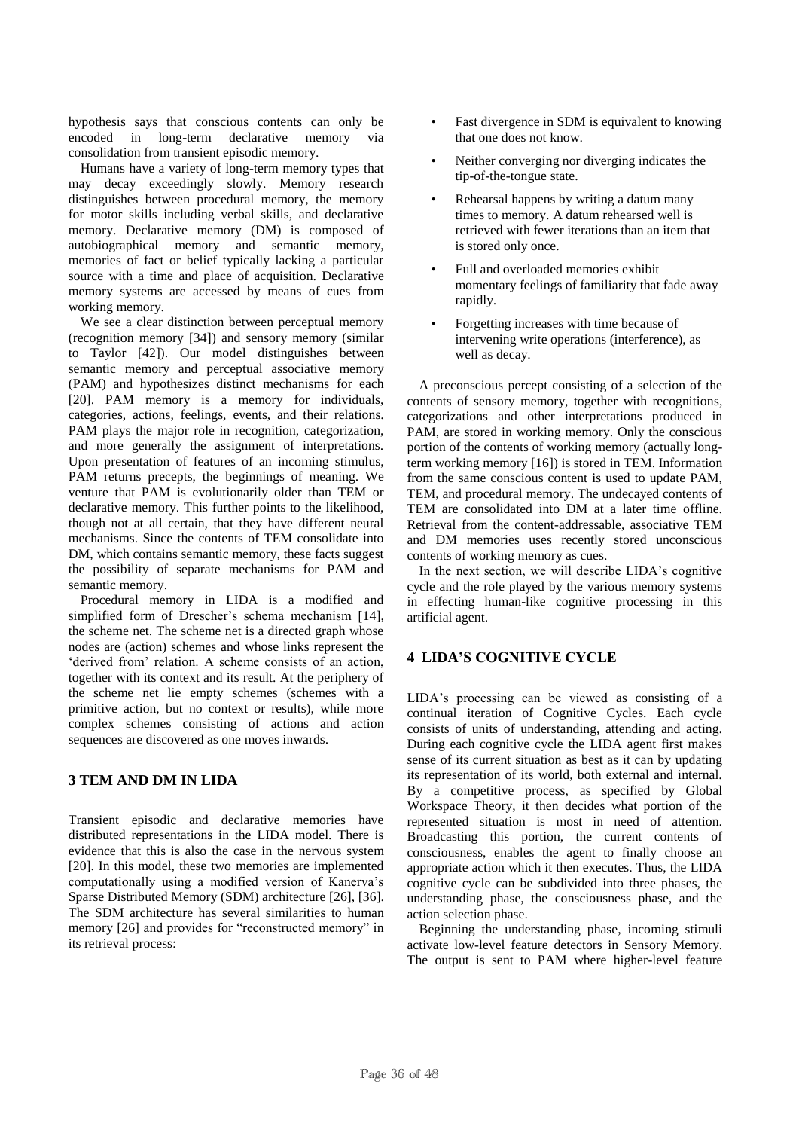hypothesis says that conscious contents can only be encoded in long-term declarative memory via consolidation from transient episodic memory.

Humans have a variety of long-term memory types that may decay exceedingly slowly. Memory research distinguishes between procedural memory, the memory for motor skills including verbal skills, and declarative memory. Declarative memory (DM) is composed of autobiographical memory and semantic memory, memories of fact or belief typically lacking a particular source with a time and place of acquisition. Declarative memory systems are accessed by means of cues from working memory.

We see a clear distinction between perceptual memory (recognition memory [34]) and sensory memory (similar to Taylor [42]). Our model distinguishes between semantic memory and perceptual associative memory (PAM) and hypothesizes distinct mechanisms for each [20]. PAM memory is a memory for individuals, categories, actions, feelings, events, and their relations. PAM plays the major role in recognition, categorization, and more generally the assignment of interpretations. Upon presentation of features of an incoming stimulus, PAM returns precepts, the beginnings of meaning. We venture that PAM is evolutionarily older than TEM or declarative memory. This further points to the likelihood, though not at all certain, that they have different neural mechanisms. Since the contents of TEM consolidate into DM, which contains semantic memory, these facts suggest the possibility of separate mechanisms for PAM and semantic memory.

Procedural memory in LIDA is a modified and simplified form of Drescher's schema mechanism [14], the scheme net. The scheme net is a directed graph whose nodes are (action) schemes and whose links represent the 'derived from' relation. A scheme consists of an action, together with its context and its result. At the periphery of the scheme net lie empty schemes (schemes with a primitive action, but no context or results), while more complex schemes consisting of actions and action sequences are discovered as one moves inwards.

## **3 TEM AND DM IN LIDA**

Transient episodic and declarative memories have distributed representations in the LIDA model. There is evidence that this is also the case in the nervous system [20]. In this model, these two memories are implemented computationally using a modified version of Kanerva"s Sparse Distributed Memory (SDM) architecture [26], [36]. The SDM architecture has several similarities to human memory [26] and provides for "reconstructed memory" in its retrieval process:

- Fast divergence in SDM is equivalent to knowing that one does not know.
- Neither converging nor diverging indicates the tip-of-the-tongue state.
- Rehearsal happens by writing a datum many times to memory. A datum rehearsed well is retrieved with fewer iterations than an item that is stored only once.
- Full and overloaded memories exhibit momentary feelings of familiarity that fade away rapidly.
- Forgetting increases with time because of intervening write operations (interference), as well as decay.

A preconscious percept consisting of a selection of the contents of sensory memory, together with recognitions, categorizations and other interpretations produced in PAM, are stored in working memory. Only the conscious portion of the contents of working memory (actually longterm working memory [16]) is stored in TEM. Information from the same conscious content is used to update PAM, TEM, and procedural memory. The undecayed contents of TEM are consolidated into DM at a later time offline. Retrieval from the content-addressable, associative TEM and DM memories uses recently stored unconscious contents of working memory as cues.

In the next section, we will describe LIDA"s cognitive cycle and the role played by the various memory systems in effecting human-like cognitive processing in this artificial agent.

# **4 LIDA'S COGNITIVE CYCLE**

LIDA"s processing can be viewed as consisting of a continual iteration of Cognitive Cycles. Each cycle consists of units of understanding, attending and acting. During each cognitive cycle the LIDA agent first makes sense of its current situation as best as it can by updating its representation of its world, both external and internal. By a competitive process, as specified by Global Workspace Theory, it then decides what portion of the represented situation is most in need of attention. Broadcasting this portion, the current contents of consciousness, enables the agent to finally choose an appropriate action which it then executes. Thus, the LIDA cognitive cycle can be subdivided into three phases, the understanding phase, the consciousness phase, and the action selection phase.

Beginning the understanding phase, incoming stimuli activate low-level feature detectors in Sensory Memory. The output is sent to PAM where higher-level feature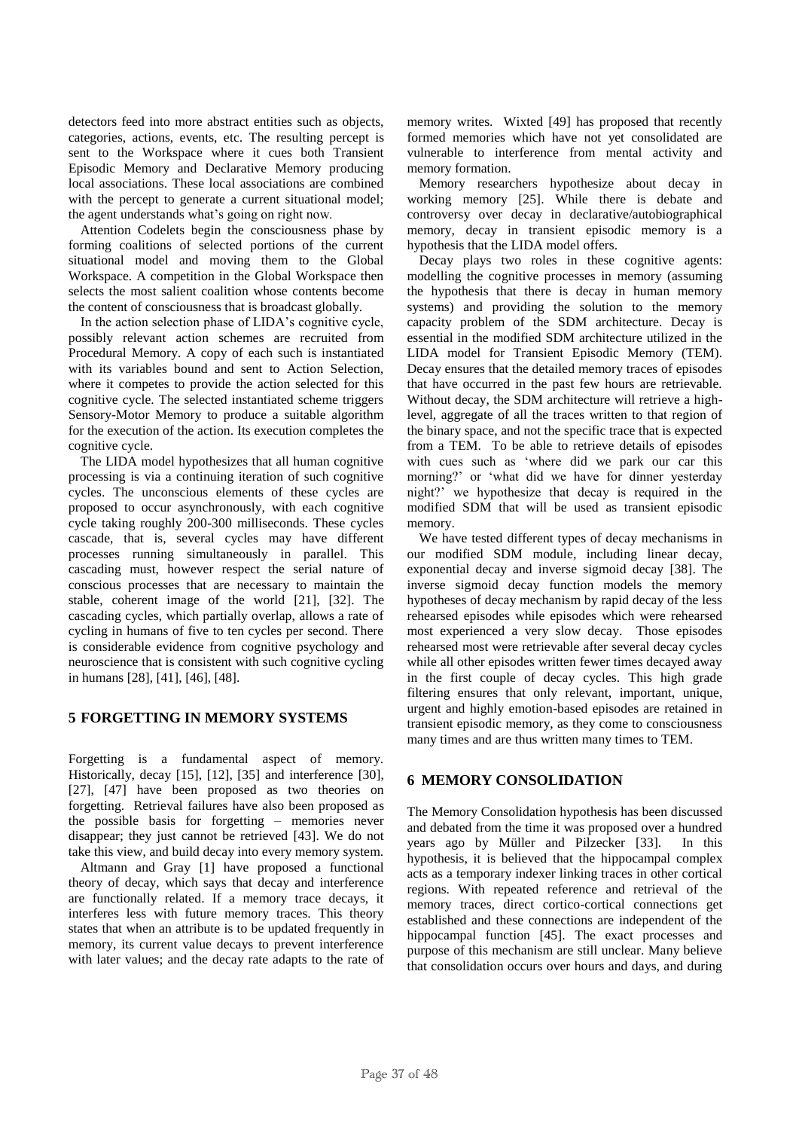detectors feed into more abstract entities such as objects, categories, actions, events, etc. The resulting percept is sent to the Workspace where it cues both Transient Episodic Memory and Declarative Memory producing local associations. These local associations are combined with the percept to generate a current situational model; the agent understands what"s going on right now.

Attention Codelets begin the consciousness phase by forming coalitions of selected portions of the current situational model and moving them to the Global Workspace. A competition in the Global Workspace then selects the most salient coalition whose contents become the content of consciousness that is broadcast globally.

In the action selection phase of LIDA"s cognitive cycle, possibly relevant action schemes are recruited from Procedural Memory. A copy of each such is instantiated with its variables bound and sent to Action Selection, where it competes to provide the action selected for this cognitive cycle. The selected instantiated scheme triggers Sensory-Motor Memory to produce a suitable algorithm for the execution of the action. Its execution completes the cognitive cycle.

The LIDA model hypothesizes that all human cognitive processing is via a continuing iteration of such cognitive cycles. The unconscious elements of these cycles are proposed to occur asynchronously, with each cognitive cycle taking roughly 200-300 milliseconds. These cycles cascade, that is, several cycles may have different processes running simultaneously in parallel. This cascading must, however respect the serial nature of conscious processes that are necessary to maintain the stable, coherent image of the world [21], [32]. The cascading cycles, which partially overlap, allows a rate of cycling in humans of five to ten cycles per second. There is considerable evidence from cognitive psychology and neuroscience that is consistent with such cognitive cycling in humans [28], [41], [46], [48].

## **5 FORGETTING IN MEMORY SYSTEMS**

Forgetting is a fundamental aspect of memory. Historically, decay [15], [12], [35] and interference [30], [27], [47] have been proposed as two theories on forgetting. Retrieval failures have also been proposed as the possible basis for forgetting – memories never disappear; they just cannot be retrieved [43]. We do not take this view, and build decay into every memory system.

Altmann and Gray [1] have proposed a functional theory of decay, which says that decay and interference are functionally related. If a memory trace decays, it interferes less with future memory traces. This theory states that when an attribute is to be updated frequently in memory, its current value decays to prevent interference with later values; and the decay rate adapts to the rate of

memory writes. Wixted [49] has proposed that recently formed memories which have not yet consolidated are vulnerable to interference from mental activity and memory formation.

Memory researchers hypothesize about decay in working memory [25]. While there is debate and controversy over decay in declarative/autobiographical memory, decay in transient episodic memory is a hypothesis that the LIDA model offers.

Decay plays two roles in these cognitive agents: modelling the cognitive processes in memory (assuming the hypothesis that there is decay in human memory systems) and providing the solution to the memory capacity problem of the SDM architecture. Decay is essential in the modified SDM architecture utilized in the LIDA model for Transient Episodic Memory (TEM). Decay ensures that the detailed memory traces of episodes that have occurred in the past few hours are retrievable. Without decay, the SDM architecture will retrieve a highlevel, aggregate of all the traces written to that region of the binary space, and not the specific trace that is expected from a TEM. To be able to retrieve details of episodes with cues such as "where did we park our car this morning?" or "what did we have for dinner yesterday night?" we hypothesize that decay is required in the modified SDM that will be used as transient episodic memory.

We have tested different types of decay mechanisms in our modified SDM module, including linear decay, exponential decay and inverse sigmoid decay [38]. The inverse sigmoid decay function models the memory hypotheses of decay mechanism by rapid decay of the less rehearsed episodes while episodes which were rehearsed most experienced a very slow decay. Those episodes rehearsed most were retrievable after several decay cycles while all other episodes written fewer times decayed away in the first couple of decay cycles. This high grade filtering ensures that only relevant, important, unique, urgent and highly emotion-based episodes are retained in transient episodic memory, as they come to consciousness many times and are thus written many times to TEM.

#### **6 MEMORY CONSOLIDATION**

The Memory Consolidation hypothesis has been discussed and debated from the time it was proposed over a hundred years ago by Müller and Pilzecker [33]. In this hypothesis, it is believed that the hippocampal complex acts as a temporary indexer linking traces in other cortical regions. With repeated reference and retrieval of the memory traces, direct cortico-cortical connections get established and these connections are independent of the hippocampal function [45]. The exact processes and purpose of this mechanism are still unclear. Many believe that consolidation occurs over hours and days, and during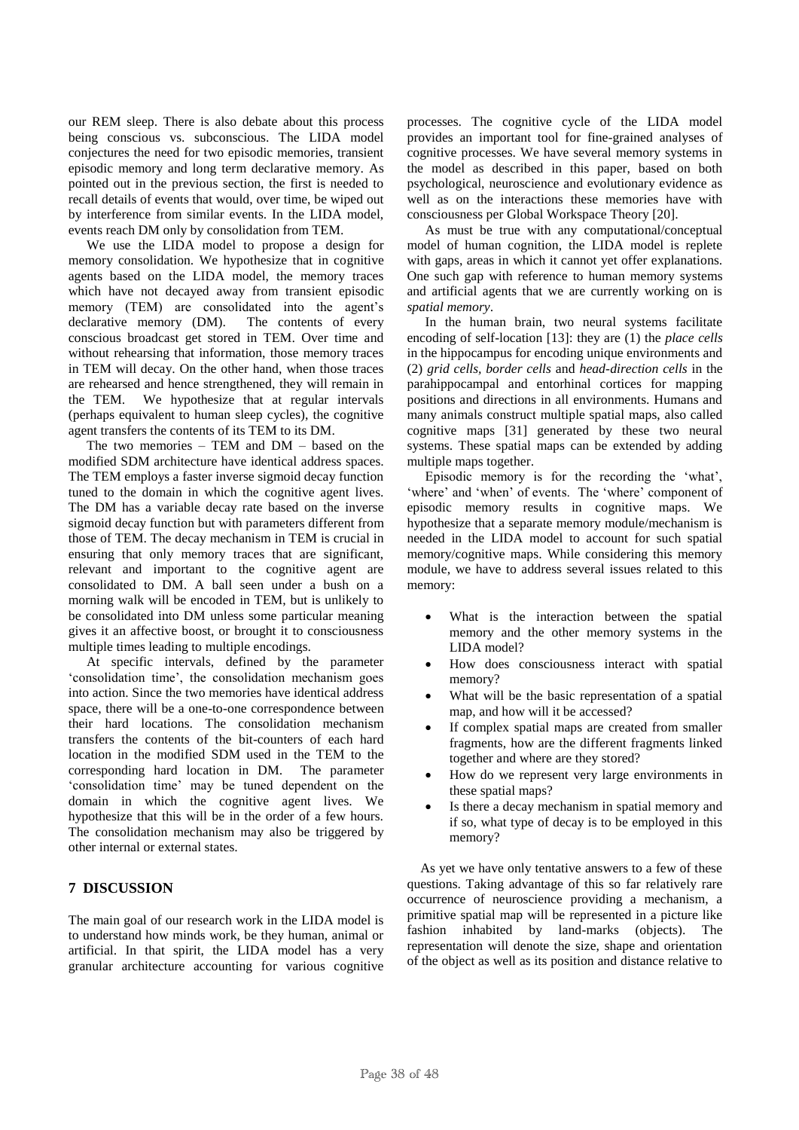our REM sleep. There is also debate about this process being conscious vs. subconscious. The LIDA model conjectures the need for two episodic memories, transient episodic memory and long term declarative memory. As pointed out in the previous section, the first is needed to recall details of events that would, over time, be wiped out by interference from similar events. In the LIDA model, events reach DM only by consolidation from TEM.

We use the LIDA model to propose a design for memory consolidation. We hypothesize that in cognitive agents based on the LIDA model, the memory traces which have not decayed away from transient episodic memory (TEM) are consolidated into the agent"s declarative memory (DM). The contents of every conscious broadcast get stored in TEM. Over time and without rehearsing that information, those memory traces in TEM will decay. On the other hand, when those traces are rehearsed and hence strengthened, they will remain in the TEM. We hypothesize that at regular intervals (perhaps equivalent to human sleep cycles), the cognitive agent transfers the contents of its TEM to its DM.

The two memories – TEM and DM – based on the modified SDM architecture have identical address spaces. The TEM employs a faster inverse sigmoid decay function tuned to the domain in which the cognitive agent lives. The DM has a variable decay rate based on the inverse sigmoid decay function but with parameters different from those of TEM. The decay mechanism in TEM is crucial in ensuring that only memory traces that are significant, relevant and important to the cognitive agent are consolidated to DM. A ball seen under a bush on a morning walk will be encoded in TEM, but is unlikely to be consolidated into DM unless some particular meaning gives it an affective boost, or brought it to consciousness multiple times leading to multiple encodings.

At specific intervals, defined by the parameter "consolidation time", the consolidation mechanism goes into action. Since the two memories have identical address space, there will be a one-to-one correspondence between their hard locations. The consolidation mechanism transfers the contents of the bit-counters of each hard location in the modified SDM used in the TEM to the corresponding hard location in DM. The parameter "consolidation time" may be tuned dependent on the domain in which the cognitive agent lives. We hypothesize that this will be in the order of a few hours. The consolidation mechanism may also be triggered by other internal or external states.

## **7 DISCUSSION**

The main goal of our research work in the LIDA model is to understand how minds work, be they human, animal or artificial. In that spirit, the LIDA model has a very granular architecture accounting for various cognitive processes. The cognitive cycle of the LIDA model provides an important tool for fine-grained analyses of cognitive processes. We have several memory systems in the model as described in this paper, based on both psychological, neuroscience and evolutionary evidence as well as on the interactions these memories have with consciousness per Global Workspace Theory [20].

As must be true with any computational/conceptual model of human cognition, the LIDA model is replete with gaps, areas in which it cannot yet offer explanations. One such gap with reference to human memory systems and artificial agents that we are currently working on is *spatial memory*.

In the human brain, two neural systems facilitate encoding of self-location [13]: they are (1) the *place cells* in the hippocampus for encoding unique environments and (2) *grid cells, border cells* and *head-direction cells* in the parahippocampal and entorhinal cortices for mapping positions and directions in all environments. Humans and many animals construct multiple spatial maps, also called cognitive maps [31] generated by these two neural systems. These spatial maps can be extended by adding multiple maps together.

Episodic memory is for the recording the "what", 'where' and 'when' of events. The 'where' component of episodic memory results in cognitive maps. We hypothesize that a separate memory module/mechanism is needed in the LIDA model to account for such spatial memory/cognitive maps. While considering this memory module, we have to address several issues related to this memory:

- What is the interaction between the spatial memory and the other memory systems in the LIDA model?
- How does consciousness interact with spatial memory?
- What will be the basic representation of a spatial map, and how will it be accessed?
- If complex spatial maps are created from smaller fragments, how are the different fragments linked together and where are they stored?
- How do we represent very large environments in these spatial maps?
- Is there a decay mechanism in spatial memory and if so, what type of decay is to be employed in this memory?

As yet we have only tentative answers to a few of these questions. Taking advantage of this so far relatively rare occurrence of neuroscience providing a mechanism, a primitive spatial map will be represented in a picture like fashion inhabited by land-marks (objects). The representation will denote the size, shape and orientation of the object as well as its position and distance relative to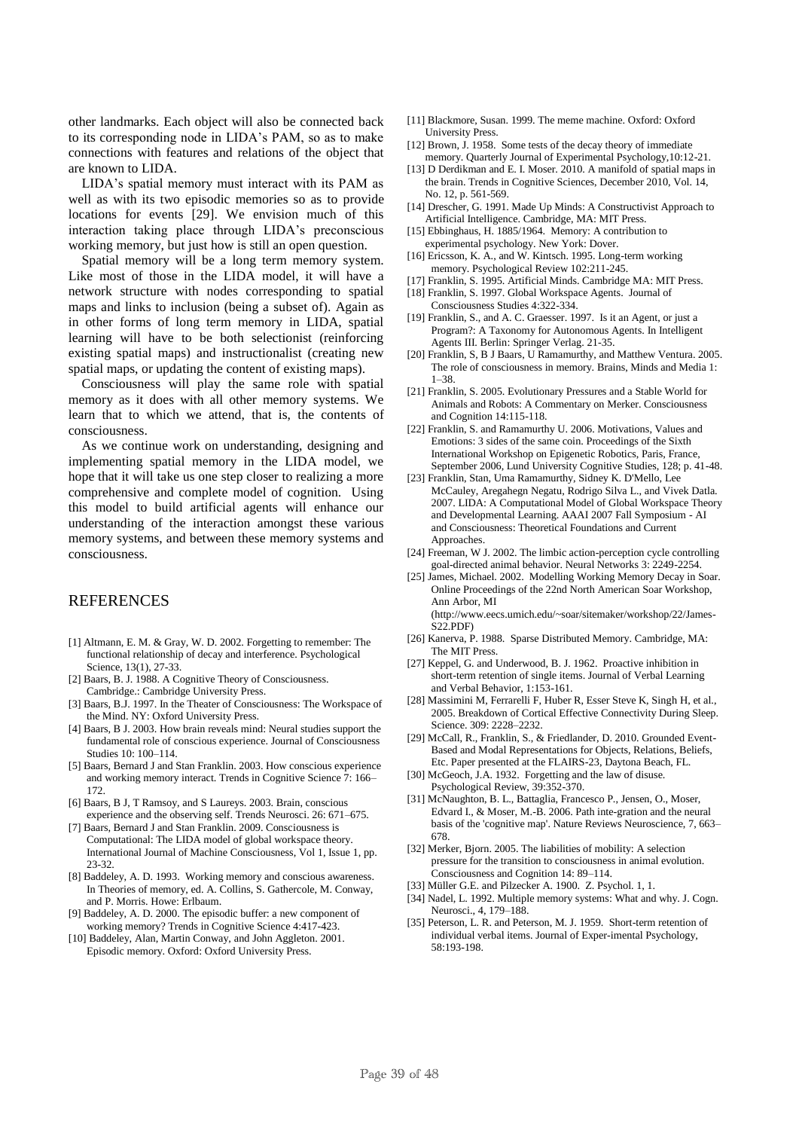other landmarks. Each object will also be connected back to its corresponding node in LIDA"s PAM, so as to make connections with features and relations of the object that are known to LIDA.

LIDA"s spatial memory must interact with its PAM as well as with its two episodic memories so as to provide locations for events [29]. We envision much of this interaction taking place through LIDA"s preconscious working memory, but just how is still an open question.

Spatial memory will be a long term memory system. Like most of those in the LIDA model, it will have a network structure with nodes corresponding to spatial maps and links to inclusion (being a subset of). Again as in other forms of long term memory in LIDA, spatial learning will have to be both selectionist (reinforcing existing spatial maps) and instructionalist (creating new spatial maps, or updating the content of existing maps).

Consciousness will play the same role with spatial memory as it does with all other memory systems. We learn that to which we attend, that is, the contents of consciousness.

As we continue work on understanding, designing and implementing spatial memory in the LIDA model, we hope that it will take us one step closer to realizing a more comprehensive and complete model of cognition. Using this model to build artificial agents will enhance our understanding of the interaction amongst these various memory systems, and between these memory systems and consciousness.

## **REFERENCES**

- [1] Altmann, E. M. & Gray, W. D. 2002. Forgetting to remember: The functional relationship of decay and interference. Psychological Science, 13(1), 27-33.
- [2] Baars, B. J. 1988. A Cognitive Theory of Consciousness. Cambridge.: Cambridge University Press.
- [3] Baars, B.J. 1997. In the Theater of Consciousness: The Workspace of the Mind. NY: Oxford University Press.
- [4] Baars, B J. 2003. How brain reveals mind: Neural studies support the fundamental role of conscious experience. Journal of Consciousness Studies 10: 100–114.
- [5] Baars, Bernard J and Stan Franklin. 2003. How conscious experience and working memory interact. Trends in Cognitive Science 7: 166– 172.
- [6] Baars, B J, T Ramsoy, and S Laureys. 2003. Brain, conscious experience and the observing self. Trends Neurosci. 26: 671–675.
- [7] Baars, Bernard J and Stan Franklin. 2009. Consciousness is Computational: The LIDA model of global workspace theory. International Journal of Machine Consciousness, Vol 1, Issue 1, pp. 23-32.
- [8] Baddeley, A. D. 1993. Working memory and conscious awareness. In Theories of memory, ed. A. Collins, S. Gathercole, M. Conway, and P. Morris. Howe: Erlbaum.
- [9] Baddeley, A. D. 2000. The episodic buffer: a new component of working memory? Trends in Cognitive Science 4:417-423.
- [10] Baddeley, Alan, Martin Conway, and John Aggleton. 2001. Episodic memory. Oxford: Oxford University Press.
- [11] Blackmore, Susan. 1999. The meme machine. Oxford: Oxford University Press.
- [12] Brown, J. 1958. Some tests of the decay theory of immediate memory. Quarterly Journal of Experimental Psychology,10:12-21.
- [13] D Derdikman and E. I. Moser. 2010. A manifold of spatial maps in the brain. Trends in Cognitive Sciences, December 2010, Vol. 14, No. 12, p. 561-569.
- [14] Drescher, G. 1991. Made Up Minds: A Constructivist Approach to Artificial Intelligence. Cambridge, MA: MIT Press.
- [15] Ebbinghaus, H. 1885/1964. Memory: A contribution to experimental psychology. New York: Dover.
- [16] Ericsson, K. A., and W. Kintsch. 1995. Long-term working memory. Psychological Review 102:211-245.
- [17] Franklin, S. 1995. Artificial Minds. Cambridge MA: MIT Press.
- [18] Franklin, S. 1997. Global Workspace Agents. Journal of Consciousness Studies 4:322-334.
- [19] Franklin, S., and A. C. Graesser, 1997. Is it an Agent, or just a Program?: A Taxonomy for Autonomous Agents. In Intelligent Agents III. Berlin: Springer Verlag. 21-35.
- [20] Franklin, S, B J Baars, U Ramamurthy, and Matthew Ventura. 2005. The role of consciousness in memory. Brains, Minds and Media 1: 1–38.
- [21] Franklin, S. 2005. Evolutionary Pressures and a Stable World for Animals and Robots: A Commentary on Merker. Consciousness and Cognition 14:115-118.
- [22] Franklin, S. and Ramamurthy U. 2006. Motivations, Values and Emotions: 3 sides of the same coin. Proceedings of the Sixth International Workshop on Epigenetic Robotics, Paris, France, September 2006, Lund University Cognitive Studies, 128; p. 41-48.
- [23] Franklin, Stan, Uma Ramamurthy, Sidney K. D'Mello, Lee McCauley, Aregahegn Negatu, Rodrigo Silva L., and Vivek Datla. 2007. LIDA: A Computational Model of Global Workspace Theory and Developmental Learning. AAAI 2007 Fall Symposium - AI and Consciousness: Theoretical Foundations and Current Approaches.
- [24] Freeman, W J. 2002. The limbic action-perception cycle controlling goal-directed animal behavior. Neural Networks 3: 2249-2254.
- [25] James, Michael. 2002. Modelling Working Memory Decay in Soar. Online Proceedings of the 22nd North American Soar Workshop, Ann Arbor, MI (http://www.eecs.umich.edu/~soar/sitemaker/workshop/22/James-S22.PDF)
- [26] Kanerva, P. 1988. Sparse Distributed Memory. Cambridge, MA: The MIT Press.
- [27] Keppel, G. and Underwood, B. J. 1962. Proactive inhibition in short-term retention of single items. Journal of Verbal Learning and Verbal Behavior, 1:153-161.
- [28] Massimini M, Ferrarelli F, Huber R, Esser Steve K, Singh H, et al., 2005. Breakdown of Cortical Effective Connectivity During Sleep. Science. 309: 2228–2232.
- [29] McCall, R., Franklin, S., & Friedlander, D. 2010. Grounded Event-Based and Modal Representations for Objects, Relations, Beliefs, Etc. Paper presented at the FLAIRS-23, Daytona Beach, FL.
- [30] McGeoch, J.A. 1932. Forgetting and the law of disuse. Psychological Review, 39:352-370.
- [31] McNaughton, B. L., Battaglia, Francesco P., Jensen, O., Moser, Edvard I., & Moser, M.-B. 2006. Path inte-gration and the neural basis of the 'cognitive map'. Nature Reviews Neuroscience, 7, 663– 678.
- [32] Merker, Bjorn. 2005. The liabilities of mobility: A selection pressure for the transition to consciousness in animal evolution. Consciousness and Cognition 14: 89–114.
- [33] Müller G.E. and Pilzecker A. 1900. Z. Psychol. 1, 1.
- [34] Nadel, L. 1992. Multiple memory systems: What and why. J. Cogn. Neurosci., 4, 179–188.
- [35] Peterson, L. R. and Peterson, M. J. 1959. Short-term retention of individual verbal items. Journal of Exper-imental Psychology, 58:193-198.